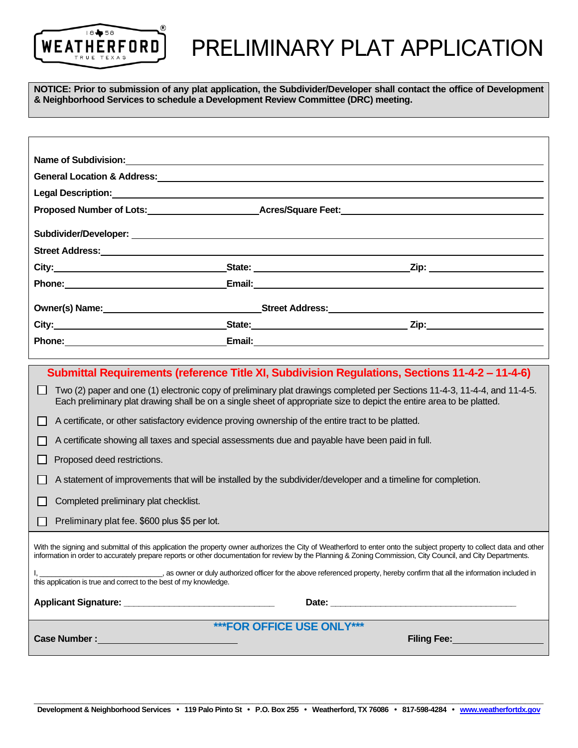

## PRELIMINARY PLAT APPLICATION

**NOTICE: Prior to submission of any plat application, the Subdivider/Developer shall contact the office of Development & Neighborhood Services to schedule a Development Review Committee (DRC) meeting.**

|                                                                                                                                                                                                                                                                                                                                        |  | General Location & Address: Campaign Contract Contract Contract Contract Contract Contract Contract Contract Co                                                                                                                                    |  |  |  |
|----------------------------------------------------------------------------------------------------------------------------------------------------------------------------------------------------------------------------------------------------------------------------------------------------------------------------------------|--|----------------------------------------------------------------------------------------------------------------------------------------------------------------------------------------------------------------------------------------------------|--|--|--|
|                                                                                                                                                                                                                                                                                                                                        |  |                                                                                                                                                                                                                                                    |  |  |  |
|                                                                                                                                                                                                                                                                                                                                        |  | Proposed Number of Lots:____________________________Acres/Square Feet:______________________________                                                                                                                                               |  |  |  |
|                                                                                                                                                                                                                                                                                                                                        |  |                                                                                                                                                                                                                                                    |  |  |  |
|                                                                                                                                                                                                                                                                                                                                        |  |                                                                                                                                                                                                                                                    |  |  |  |
|                                                                                                                                                                                                                                                                                                                                        |  |                                                                                                                                                                                                                                                    |  |  |  |
| Phone: <u>with the contract of the contract of the contract of the contract of the contract of the contract of the contract of the contract of the contract of the contract of the contract of the contract of the contract of t</u>                                                                                                   |  |                                                                                                                                                                                                                                                    |  |  |  |
|                                                                                                                                                                                                                                                                                                                                        |  |                                                                                                                                                                                                                                                    |  |  |  |
|                                                                                                                                                                                                                                                                                                                                        |  |                                                                                                                                                                                                                                                    |  |  |  |
|                                                                                                                                                                                                                                                                                                                                        |  | Phone: Email: Email: Email: Email: Email: Email: Email: Email: Email: Email: Email: Email: Email: Email: Email: Email: Email: Email: Email: Email: Email: Email: Email: Email: Email: Email: Email: Email: Email: Email: Email                     |  |  |  |
|                                                                                                                                                                                                                                                                                                                                        |  |                                                                                                                                                                                                                                                    |  |  |  |
|                                                                                                                                                                                                                                                                                                                                        |  | Submittal Requirements (reference Title XI, Subdivision Regulations, Sections 11-4-2 - 11-4-6)                                                                                                                                                     |  |  |  |
|                                                                                                                                                                                                                                                                                                                                        |  | Two (2) paper and one (1) electronic copy of preliminary plat drawings completed per Sections 11-4-3, 11-4-4, and 11-4-5.<br>Each preliminary plat drawing shall be on a single sheet of appropriate size to depict the entire area to be platted. |  |  |  |
| A certificate, or other satisfactory evidence proving ownership of the entire tract to be platted.                                                                                                                                                                                                                                     |  |                                                                                                                                                                                                                                                    |  |  |  |
| A certificate showing all taxes and special assessments due and payable have been paid in full.                                                                                                                                                                                                                                        |  |                                                                                                                                                                                                                                                    |  |  |  |
| Proposed deed restrictions.                                                                                                                                                                                                                                                                                                            |  |                                                                                                                                                                                                                                                    |  |  |  |
| A statement of improvements that will be installed by the subdivider/developer and a timeline for completion.                                                                                                                                                                                                                          |  |                                                                                                                                                                                                                                                    |  |  |  |
| Completed preliminary plat checklist.                                                                                                                                                                                                                                                                                                  |  |                                                                                                                                                                                                                                                    |  |  |  |
| Preliminary plat fee. \$600 plus \$5 per lot.                                                                                                                                                                                                                                                                                          |  |                                                                                                                                                                                                                                                    |  |  |  |
|                                                                                                                                                                                                                                                                                                                                        |  |                                                                                                                                                                                                                                                    |  |  |  |
| With the signing and submittal of this application the property owner authorizes the City of Weatherford to enter onto the subject property to collect data and other<br>information in order to accurately prepare reports or other documentation for review by the Planning & Zoning Commission, City Council, and City Departments. |  |                                                                                                                                                                                                                                                    |  |  |  |
| as owner or duly authorized officer for the above referenced property, hereby confirm that all the information included in<br>this application is true and correct to the best of my knowledge.                                                                                                                                        |  |                                                                                                                                                                                                                                                    |  |  |  |
|                                                                                                                                                                                                                                                                                                                                        |  |                                                                                                                                                                                                                                                    |  |  |  |
| <b>***FOR OFFICE USE ONLY***</b>                                                                                                                                                                                                                                                                                                       |  |                                                                                                                                                                                                                                                    |  |  |  |
| Case Number : Management of the Management of the Management of the Management of the Management of the Management of the Management of the Management of the Management of the Management of the Management of the Management<br>Filing Fee: Network and Security Assembly                                                            |  |                                                                                                                                                                                                                                                    |  |  |  |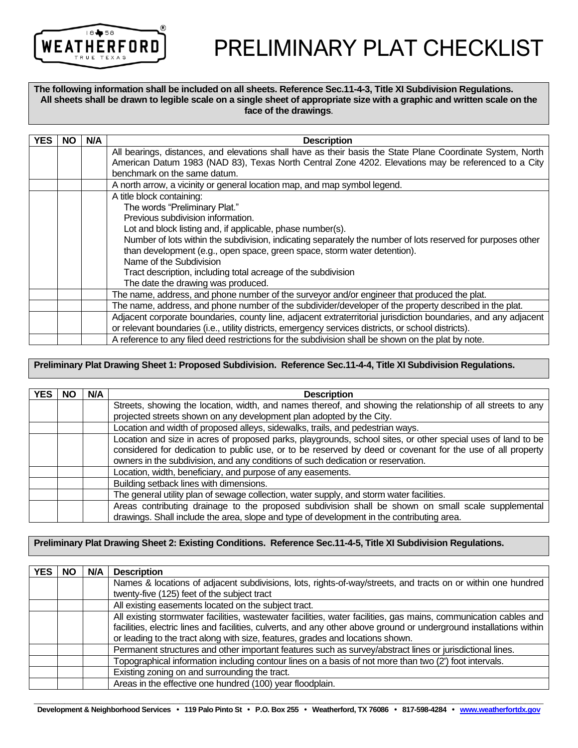

# PRELIMINARY PLAT CHECKLIST

**The following information shall be included on all sheets. Reference Sec.11-4-3, Title XI Subdivision Regulations. All sheets shall be drawn to legible scale on a single sheet of appropriate size with a graphic and written scale on the face of the drawings**.

| <b>YES</b> | <b>NO</b> | N/A | <b>Description</b>                                                                                              |
|------------|-----------|-----|-----------------------------------------------------------------------------------------------------------------|
|            |           |     | All bearings, distances, and elevations shall have as their basis the State Plane Coordinate System, North      |
|            |           |     | American Datum 1983 (NAD 83), Texas North Central Zone 4202. Elevations may be referenced to a City             |
|            |           |     | benchmark on the same datum.                                                                                    |
|            |           |     |                                                                                                                 |
|            |           |     | A north arrow, a vicinity or general location map, and map symbol legend.                                       |
|            |           |     | A title block containing:                                                                                       |
|            |           |     | The words "Preliminary Plat."                                                                                   |
|            |           |     | Previous subdivision information.                                                                               |
|            |           |     | Lot and block listing and, if applicable, phase number(s).                                                      |
|            |           |     | Number of lots within the subdivision, indicating separately the number of lots reserved for purposes other     |
|            |           |     | than development (e.g., open space, green space, storm water detention).                                        |
|            |           |     | Name of the Subdivision                                                                                         |
|            |           |     | Tract description, including total acreage of the subdivision                                                   |
|            |           |     | The date the drawing was produced.                                                                              |
|            |           |     | The name, address, and phone number of the surveyor and/or engineer that produced the plat.                     |
|            |           |     | The name, address, and phone number of the subdivider/developer of the property described in the plat.          |
|            |           |     | Adjacent corporate boundaries, county line, adjacent extraterritorial jurisdiction boundaries, and any adjacent |
|            |           |     | or relevant boundaries (i.e., utility districts, emergency services districts, or school districts).            |
|            |           |     | A reference to any filed deed restrictions for the subdivision shall be shown on the plat by note.              |

#### **Preliminary Plat Drawing Sheet 1: Proposed Subdivision. Reference Sec.11-4-4, Title XI Subdivision Regulations.**

| <b>YES</b> | NO | N/A | <b>Description</b>                                                                                                                                                                                                                                                                                             |
|------------|----|-----|----------------------------------------------------------------------------------------------------------------------------------------------------------------------------------------------------------------------------------------------------------------------------------------------------------------|
|            |    |     | Streets, showing the location, width, and names thereof, and showing the relationship of all streets to any<br>projected streets shown on any development plan adopted by the City.                                                                                                                            |
|            |    |     | Location and width of proposed alleys, sidewalks, trails, and pedestrian ways.                                                                                                                                                                                                                                 |
|            |    |     | Location and size in acres of proposed parks, playgrounds, school sites, or other special uses of land to be<br>considered for dedication to public use, or to be reserved by deed or covenant for the use of all property<br>owners in the subdivision, and any conditions of such dedication or reservation. |
|            |    |     | Location, width, beneficiary, and purpose of any easements.                                                                                                                                                                                                                                                    |
|            |    |     | Building setback lines with dimensions.                                                                                                                                                                                                                                                                        |
|            |    |     | The general utility plan of sewage collection, water supply, and storm water facilities.                                                                                                                                                                                                                       |
|            |    |     | Areas contributing drainage to the proposed subdivision shall be shown on small scale supplemental<br>drawings. Shall include the area, slope and type of development in the contributing area.                                                                                                                |

#### **Preliminary Plat Drawing Sheet 2: Existing Conditions. Reference Sec.11-4-5, Title XI Subdivision Regulations.**

| <b>YES</b> | <b>NO</b> | N/A | <b>Description</b>                                                                                                  |
|------------|-----------|-----|---------------------------------------------------------------------------------------------------------------------|
|            |           |     | Names & locations of adjacent subdivisions, lots, rights-of-way/streets, and tracts on or within one hundred        |
|            |           |     | twenty-five (125) feet of the subject tract                                                                         |
|            |           |     | All existing easements located on the subject tract.                                                                |
|            |           |     | All existing stormwater facilities, wastewater facilities, water facilities, gas mains, communication cables and    |
|            |           |     | facilities, electric lines and facilities, culverts, and any other above ground or underground installations within |
|            |           |     | or leading to the tract along with size, features, grades and locations shown.                                      |
|            |           |     | Permanent structures and other important features such as survey/abstract lines or jurisdictional lines.            |
|            |           |     | Topographical information including contour lines on a basis of not more than two (2') foot intervals.              |
|            |           |     | Existing zoning on and surrounding the tract.                                                                       |
|            |           |     | Areas in the effective one hundred (100) year floodplain.                                                           |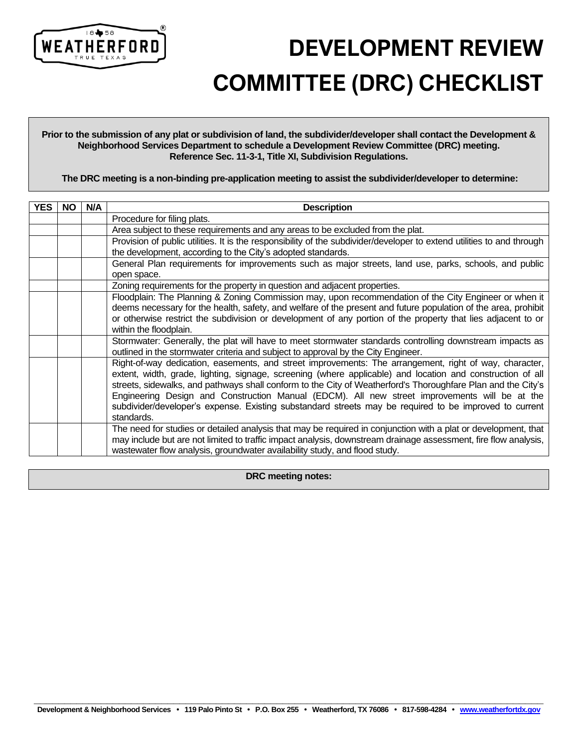

 **DEVELOPMENT REVIEW COMMITTEE (DRC) CHECKLIST**

**Prior to the submission of any plat or subdivision of land, the subdivider/developer shall contact the Development & Neighborhood Services Department to schedule a Development Review Committee (DRC) meeting. Reference Sec. 11-3-1, Title XI, Subdivision Regulations.**

**The DRC meeting is a non-binding pre-application meeting to assist the subdivider/developer to determine:** 

| <b>YES</b> | <b>NO</b> | N/A | <b>Description</b>                                                                                                                                                                                                                                                                                                                                                                                                                                                                                                                                            |
|------------|-----------|-----|---------------------------------------------------------------------------------------------------------------------------------------------------------------------------------------------------------------------------------------------------------------------------------------------------------------------------------------------------------------------------------------------------------------------------------------------------------------------------------------------------------------------------------------------------------------|
|            |           |     | Procedure for filing plats.                                                                                                                                                                                                                                                                                                                                                                                                                                                                                                                                   |
|            |           |     | Area subject to these requirements and any areas to be excluded from the plat.                                                                                                                                                                                                                                                                                                                                                                                                                                                                                |
|            |           |     | Provision of public utilities. It is the responsibility of the subdivider/developer to extend utilities to and through<br>the development, according to the City's adopted standards.                                                                                                                                                                                                                                                                                                                                                                         |
|            |           |     | General Plan requirements for improvements such as major streets, land use, parks, schools, and public<br>open space.                                                                                                                                                                                                                                                                                                                                                                                                                                         |
|            |           |     | Zoning requirements for the property in question and adjacent properties.                                                                                                                                                                                                                                                                                                                                                                                                                                                                                     |
|            |           |     | Floodplain: The Planning & Zoning Commission may, upon recommendation of the City Engineer or when it<br>deems necessary for the health, safety, and welfare of the present and future population of the area, prohibit<br>or otherwise restrict the subdivision or development of any portion of the property that lies adjacent to or<br>within the floodplain.                                                                                                                                                                                             |
|            |           |     | Stormwater: Generally, the plat will have to meet stormwater standards controlling downstream impacts as<br>outlined in the stormwater criteria and subject to approval by the City Engineer.                                                                                                                                                                                                                                                                                                                                                                 |
|            |           |     | Right-of-way dedication, easements, and street improvements: The arrangement, right of way, character,<br>extent, width, grade, lighting, signage, screening (where applicable) and location and construction of all<br>streets, sidewalks, and pathways shall conform to the City of Weatherford's Thoroughfare Plan and the City's<br>Engineering Design and Construction Manual (EDCM). All new street improvements will be at the<br>subdivider/developer's expense. Existing substandard streets may be required to be improved to current<br>standards. |
|            |           |     | The need for studies or detailed analysis that may be required in conjunction with a plat or development, that<br>may include but are not limited to traffic impact analysis, downstream drainage assessment, fire flow analysis,<br>wastewater flow analysis, groundwater availability study, and flood study.                                                                                                                                                                                                                                               |

**DRC meeting notes:**